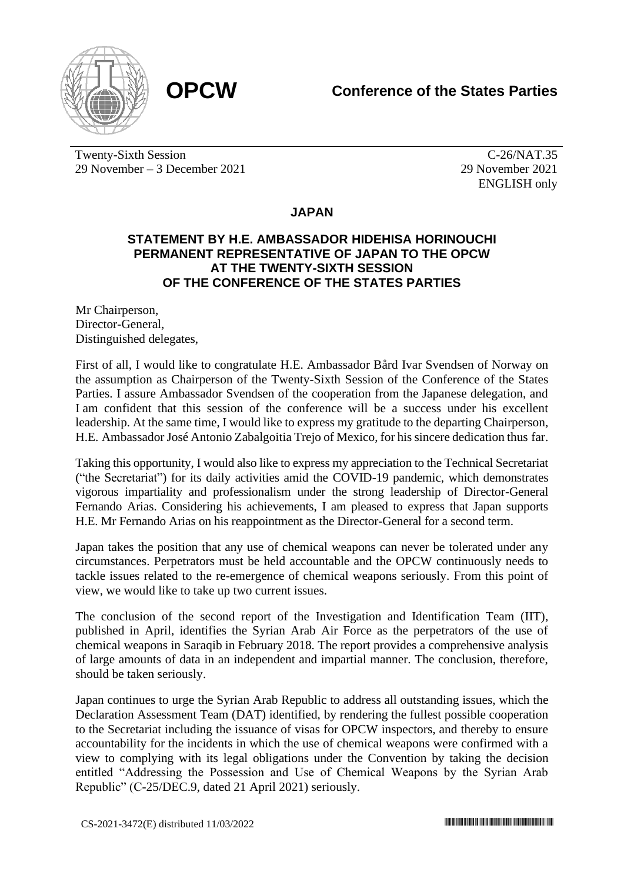

Twenty-Sixth Session 29 November – 3 December 2021

C-26/NAT.35 29 November 2021 ENGLISH only

## **JAPAN**

## **STATEMENT BY H.E. AMBASSADOR HIDEHISA HORINOUCHI PERMANENT REPRESENTATIVE OF JAPAN TO THE OPCW AT THE TWENTY-SIXTH SESSION OF THE CONFERENCE OF THE STATES PARTIES**

Mr Chairperson, Director-General, Distinguished delegates,

First of all, I would like to congratulate H.E. Ambassador Bård Ivar Svendsen of Norway on the assumption as Chairperson of the Twenty-Sixth Session of the Conference of the States Parties. I assure Ambassador Svendsen of the cooperation from the Japanese delegation, and I am confident that this session of the conference will be a success under his excellent leadership. At the same time, I would like to express my gratitude to the departing Chairperson, H.E. Ambassador José Antonio Zabalgoitia Trejo of Mexico, for his sincere dedication thus far.

Taking this opportunity, I would also like to express my appreciation to the Technical Secretariat ("the Secretariat") for its daily activities amid the COVID-19 pandemic, which demonstrates vigorous impartiality and professionalism under the strong leadership of Director-General Fernando Arias. Considering his achievements, I am pleased to express that Japan supports H.E. Mr Fernando Arias on his reappointment as the Director-General for a second term.

Japan takes the position that any use of chemical weapons can never be tolerated under any circumstances. Perpetrators must be held accountable and the OPCW continuously needs to tackle issues related to the re-emergence of chemical weapons seriously. From this point of view, we would like to take up two current issues.

The conclusion of the second report of the Investigation and Identification Team (IIT), published in April, identifies the Syrian Arab Air Force as the perpetrators of the use of chemical weapons in Saraqib in February 2018. The report provides a comprehensive analysis of large amounts of data in an independent and impartial manner. The conclusion, therefore, should be taken seriously.

Japan continues to urge the Syrian Arab Republic to address all outstanding issues, which the Declaration Assessment Team (DAT) identified, by rendering the fullest possible cooperation to the Secretariat including the issuance of visas for OPCW inspectors, and thereby to ensure accountability for the incidents in which the use of chemical weapons were confirmed with a view to complying with its legal obligations under the Convention by taking the decision entitled "Addressing the Possession and Use of Chemical Weapons by the Syrian Arab Republic" (C-25/DEC.9, dated 21 April 2021) seriously.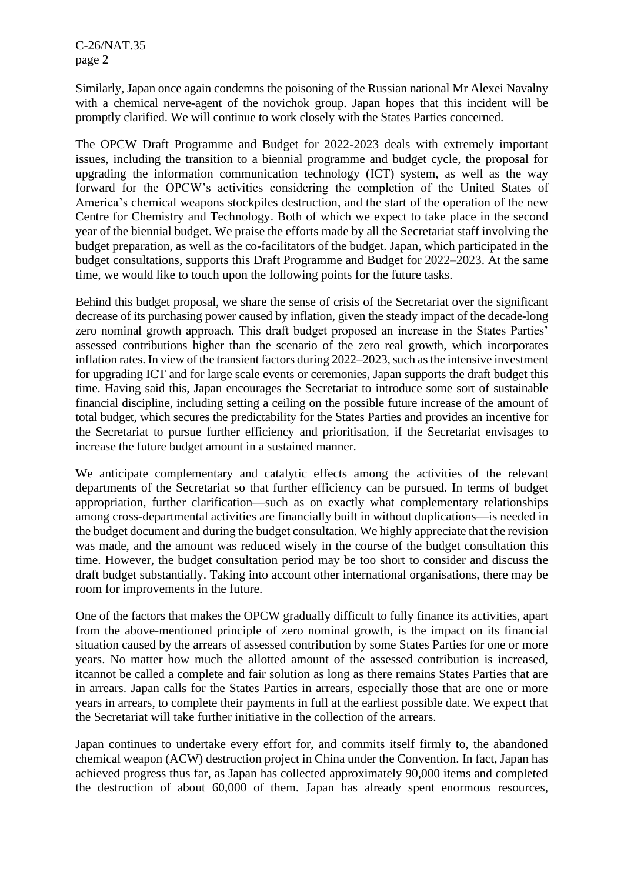C-26/NAT.35 page 2

Similarly, Japan once again condemns the poisoning of the Russian national Mr Alexei Navalny with a chemical nerve-agent of the novichok group. Japan hopes that this incident will be promptly clarified. We will continue to work closely with the States Parties concerned.

The OPCW Draft Programme and Budget for 2022-2023 deals with extremely important issues, including the transition to a biennial programme and budget cycle, the proposal for upgrading the information communication technology (ICT) system, as well as the way forward for the OPCW's activities considering the completion of the United States of America's chemical weapons stockpiles destruction, and the start of the operation of the new Centre for Chemistry and Technology. Both of which we expect to take place in the second year of the biennial budget. We praise the efforts made by all the Secretariat staff involving the budget preparation, as well as the co-facilitators of the budget. Japan, which participated in the budget consultations, supports this Draft Programme and Budget for 2022–2023. At the same time, we would like to touch upon the following points for the future tasks.

Behind this budget proposal, we share the sense of crisis of the Secretariat over the significant decrease of its purchasing power caused by inflation, given the steady impact of the decade-long zero nominal growth approach. This draft budget proposed an increase in the States Parties' assessed contributions higher than the scenario of the zero real growth, which incorporates inflation rates. In view of the transient factors during 2022–2023, such as the intensive investment for upgrading ICT and for large scale events or ceremonies, Japan supports the draft budget this time. Having said this, Japan encourages the Secretariat to introduce some sort of sustainable financial discipline, including setting a ceiling on the possible future increase of the amount of total budget, which secures the predictability for the States Parties and provides an incentive for the Secretariat to pursue further efficiency and prioritisation, if the Secretariat envisages to increase the future budget amount in a sustained manner.

We anticipate complementary and catalytic effects among the activities of the relevant departments of the Secretariat so that further efficiency can be pursued. In terms of budget appropriation, further clarification—such as on exactly what complementary relationships among cross-departmental activities are financially built in without duplications—is needed in the budget document and during the budget consultation. We highly appreciate that the revision was made, and the amount was reduced wisely in the course of the budget consultation this time. However, the budget consultation period may be too short to consider and discuss the draft budget substantially. Taking into account other international organisations, there may be room for improvements in the future.

One of the factors that makes the OPCW gradually difficult to fully finance its activities, apart from the above-mentioned principle of zero nominal growth, is the impact on its financial situation caused by the arrears of assessed contribution by some States Parties for one or more years. No matter how much the allotted amount of the assessed contribution is increased, itcannot be called a complete and fair solution as long as there remains States Parties that are in arrears. Japan calls for the States Parties in arrears, especially those that are one or more years in arrears, to complete their payments in full at the earliest possible date. We expect that the Secretariat will take further initiative in the collection of the arrears.

Japan continues to undertake every effort for, and commits itself firmly to, the abandoned chemical weapon (ACW) destruction project in China under the Convention. In fact, Japan has achieved progress thus far, as Japan has collected approximately 90,000 items and completed the destruction of about 60,000 of them. Japan has already spent enormous resources,